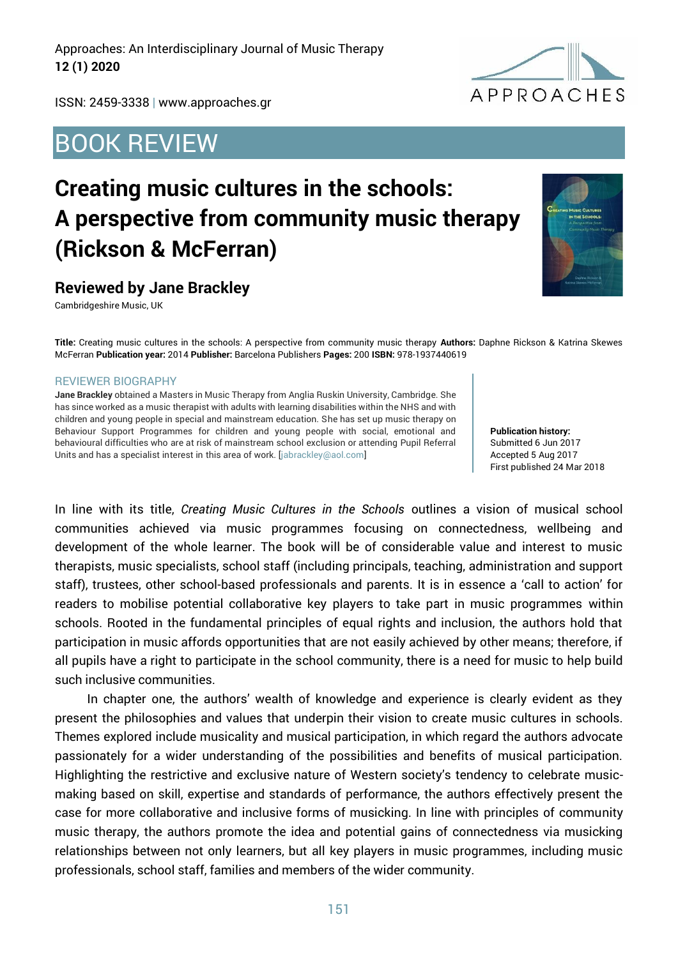Approaches: An Interdisciplinary Journal of Music Therapy **12 (1) 2020**

ISSN: 2459-3338 | www.approaches.gr

## BOOK REVIEW

## **Creating music cultures in the schools: A perspective from community music therapy (Rickson & McFerran)**

## **Reviewed by Jane Brackley**

Cambridgeshire Music, UK

**Title:** Creating music cultures in the schools: A perspective from community music therapy **Authors:** Daphne Rickson & Katrina Skewes McFerran **Publication year:** 2014 **Publisher:** Barcelona Publishers **Pages:** 200 **ISBN:** 978-1937440619

## REVIEWER BIOGRAPHY

**Jane Brackley** obtained a Masters in Music Therapy from Anglia Ruskin University, Cambridge. She has since worked as a music therapist with adults with learning disabilities within the NHS and with children and young people in special and mainstream education. She has set up music therapy on Behaviour Support Programmes for children and young people with social, emotional and behavioural difficulties who are at risk of mainstream school exclusion or attending Pupil Referral Units and has a specialist interest in this area of work. [jabrackley@aol.com]

**Publication history:**  Submitted 6 Jun 2017 Accepted 5 Aug 2017 First published 24 Mar 2018

In line with its title, *Creating Music Cultures in the Schools* outlines a vision of musical school communities achieved via music programmes focusing on connectedness, wellbeing and development of the whole learner. The book will be of considerable value and interest to music therapists, music specialists, school staff (including principals, teaching, administration and support staff), trustees, other school-based professionals and parents. It is in essence a 'call to action' for readers to mobilise potential collaborative key players to take part in music programmes within schools. Rooted in the fundamental principles of equal rights and inclusion, the authors hold that participation in music affords opportunities that are not easily achieved by other means; therefore, if all pupils have a right to participate in the school community, there is a need for music to help build such inclusive communities.

In chapter one, the authors' wealth of knowledge and experience is clearly evident as they present the philosophies and values that underpin their vision to create music cultures in schools. Themes explored include musicality and musical participation, in which regard the authors advocate passionately for a wider understanding of the possibilities and benefits of musical participation. Highlighting the restrictive and exclusive nature of Western society's tendency to celebrate musicmaking based on skill, expertise and standards of performance, the authors effectively present the case for more collaborative and inclusive forms of musicking. In line with principles of community music therapy, the authors promote the idea and potential gains of connectedness via musicking relationships between not only learners, but all key players in music programmes, including music professionals, school staff, families and members of the wider community.



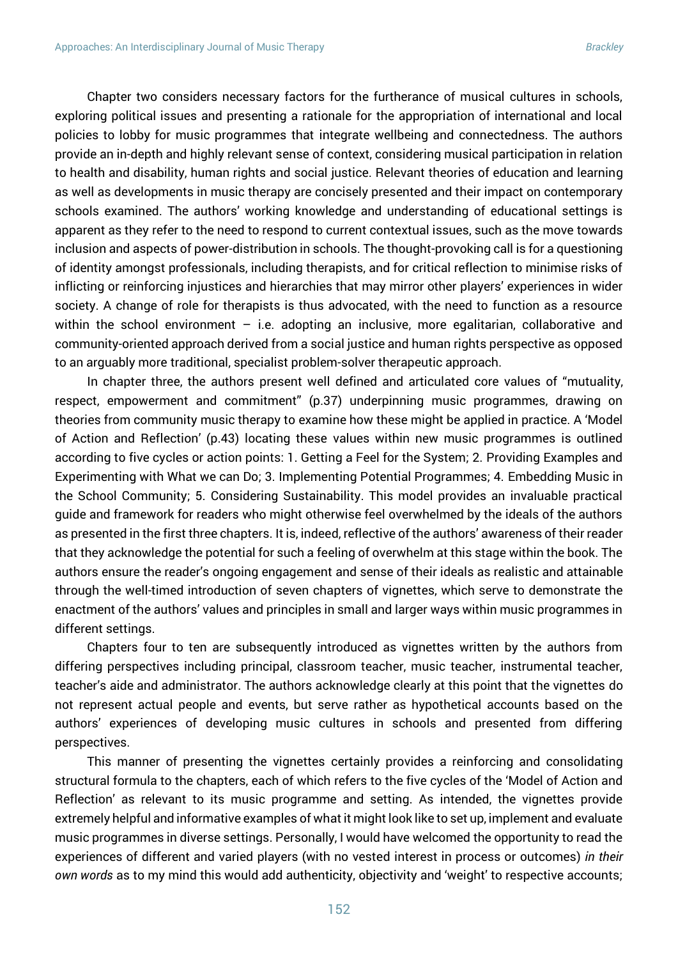Chapter two considers necessary factors for the furtherance of musical cultures in schools, exploring political issues and presenting a rationale for the appropriation of international and local policies to lobby for music programmes that integrate wellbeing and connectedness. The authors provide an in-depth and highly relevant sense of context, considering musical participation in relation to health and disability, human rights and social justice. Relevant theories of education and learning as well as developments in music therapy are concisely presented and their impact on contemporary schools examined. The authors' working knowledge and understanding of educational settings is apparent as they refer to the need to respond to current contextual issues, such as the move towards inclusion and aspects of power-distribution in schools. The thought-provoking call is for a questioning of identity amongst professionals, including therapists, and for critical reflection to minimise risks of inflicting or reinforcing injustices and hierarchies that may mirror other players' experiences in wider society. A change of role for therapists is thus advocated, with the need to function as a resource within the school environment  $-$  i.e. adopting an inclusive, more egalitarian, collaborative and community-oriented approach derived from a social justice and human rights perspective as opposed to an arguably more traditional, specialist problem-solver therapeutic approach.

In chapter three, the authors present well defined and articulated core values of "mutuality, respect, empowerment and commitment" (p.37) underpinning music programmes, drawing on theories from community music therapy to examine how these might be applied in practice. A 'Model of Action and Reflection' (p.43) locating these values within new music programmes is outlined according to five cycles or action points: 1. Getting a Feel for the System; 2. Providing Examples and Experimenting with What we can Do; 3. Implementing Potential Programmes; 4. Embedding Music in the School Community; 5. Considering Sustainability. This model provides an invaluable practical guide and framework for readers who might otherwise feel overwhelmed by the ideals of the authors as presented in the first three chapters. It is, indeed, reflective of the authors' awareness of their reader that they acknowledge the potential for such a feeling of overwhelm at this stage within the book. The authors ensure the reader's ongoing engagement and sense of their ideals as realistic and attainable through the well-timed introduction of seven chapters of vignettes, which serve to demonstrate the enactment of the authors' values and principles in small and larger ways within music programmes in different settings.

Chapters four to ten are subsequently introduced as vignettes written by the authors from differing perspectives including principal, classroom teacher, music teacher, instrumental teacher, teacher's aide and administrator. The authors acknowledge clearly at this point that the vignettes do not represent actual people and events, but serve rather as hypothetical accounts based on the authors' experiences of developing music cultures in schools and presented from differing perspectives.

This manner of presenting the vignettes certainly provides a reinforcing and consolidating structural formula to the chapters, each of which refers to the five cycles of the 'Model of Action and Reflection' as relevant to its music programme and setting. As intended, the vignettes provide extremely helpful and informative examples of what it might look like to set up, implement and evaluate music programmes in diverse settings. Personally, I would have welcomed the opportunity to read the experiences of different and varied players (with no vested interest in process or outcomes) *in their own words* as to my mind this would add authenticity, objectivity and 'weight' to respective accounts;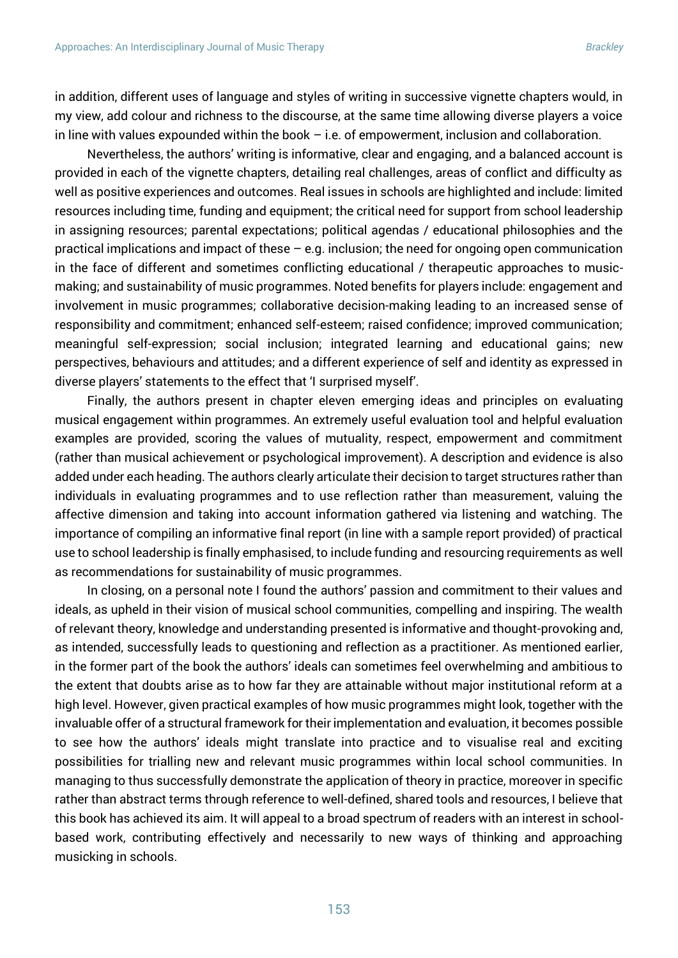in addition, different uses of language and styles of writing in successive vignette chapters would, in my view, add colour and richness to the discourse, at the same time allowing diverse players a voice in line with values expounded within the book  $-$  i.e. of empowerment, inclusion and collaboration.

Nevertheless, the authors' writing is informative, clear and engaging, and a balanced account is provided in each of the vignette chapters, detailing real challenges, areas of conflict and difficulty as well as positive experiences and outcomes. Real issues in schools are highlighted and include: limited resources including time, funding and equipment; the critical need for support from school leadership in assigning resources; parental expectations; political agendas / educational philosophies and the practical implications and impact of these – e.g. inclusion; the need for ongoing open communication in the face of different and sometimes conflicting educational / therapeutic approaches to musicmaking; and sustainability of music programmes. Noted benefits for players include: engagement and involvement in music programmes; collaborative decision-making leading to an increased sense of responsibility and commitment; enhanced self-esteem; raised confidence; improved communication; meaningful self-expression; social inclusion; integrated learning and educational gains; new perspectives, behaviours and attitudes; and a different experience of self and identity as expressed in diverse players' statements to the effect that 'I surprised myself'.

Finally, the authors present in chapter eleven emerging ideas and principles on evaluating musical engagement within programmes. An extremely useful evaluation tool and helpful evaluation examples are provided, scoring the values of mutuality, respect, empowerment and commitment (rather than musical achievement or psychological improvement). A description and evidence is also added under each heading. The authors clearly articulate their decision to target structures rather than individuals in evaluating programmes and to use reflection rather than measurement, valuing the affective dimension and taking into account information gathered via listening and watching. The importance of compiling an informative final report (in line with a sample report provided) of practical use to school leadership is finally emphasised, to include funding and resourcing requirements as well as recommendations for sustainability of music programmes.

In closing, on a personal note I found the authors' passion and commitment to their values and ideals, as upheld in their vision of musical school communities, compelling and inspiring. The wealth of relevant theory, knowledge and understanding presented is informative and thought-provoking and, as intended, successfully leads to questioning and reflection as a practitioner. As mentioned earlier, in the former part of the book the authors' ideals can sometimes feel overwhelming and ambitious to the extent that doubts arise as to how far they are attainable without major institutional reform at a high level. However, given practical examples of how music programmes might look, together with the invaluable offer of a structural framework for their implementation and evaluation, it becomes possible to see how the authors' ideals might translate into practice and to visualise real and exciting possibilities for trialling new and relevant music programmes within local school communities. In managing to thus successfully demonstrate the application of theory in practice, moreover in specific rather than abstract terms through reference to well-defined, shared tools and resources, I believe that this book has achieved its aim. It will appeal to a broad spectrum of readers with an interest in schoolbased work, contributing effectively and necessarily to new ways of thinking and approaching musicking in schools.